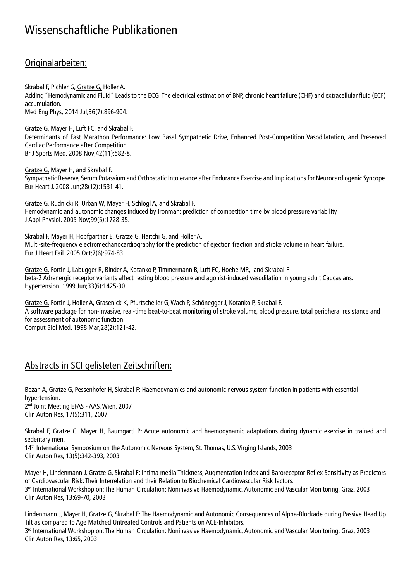# Wissenschaftliche Publikationen

## Originalarbeiten:

Skrabal F, Pichler G, Gratze G, Holler A. Adding "Hemodynamic and Fluid" Leads to the ECG: The electrical estimation of BNP, chronic heart failure (CHF) and extracellular fluid (ECF) accumulation. Med Eng Phys, 2014 Jul;36(7):896-904.

Gratze G, Mayer H, Luft FC, and Skrabal F. Determinants of Fast Marathon Performance: Low Basal Sympathetic Drive, Enhanced Post-Competition Vasodilatation, and Preserved Cardiac Performance after Competition. Br J Sports Med. 2008 Nov;42(11):582-8.

Gratze G, Mayer H, and Skrabal F. Sympathetic Reserve, Serum Potassium and Orthostatic Intolerance after Endurance Exercise and Implications for Neurocardiogenic Syncope. Eur Heart J. 2008 Jun;28(12):1531-41.

Gratze G, Rudnicki R, Urban W, Mayer H, Schlögl A, and Skrabal F. Hemodynamic and autonomic changes induced by Ironman: prediction of competition time by blood pressure variability. J Appl Physiol. 2005 Nov;99(5):1728-35.

Skrabal F, Mayer H, Hopfgartner E, Gratze G, Haitchi G, and Holler A. Multi-site-frequency electromechanocardiography for the prediction of ejection fraction and stroke volume in heart failure. Eur J Heart Fail. 2005 Oct;7(6):974-83.

Gratze G, Fortin J, Labugger R, Binder A, Kotanko P, Timmermann B, Luft FC, Hoehe MR, and Skrabal F. beta-2 Adrenergic receptor variants affect resting blood pressure and agonist-induced vasodilation in young adult Caucasians. Hypertension. 1999 Jun;33(6):1425-30.

Gratze G, Fortin J, Holler A, Grasenick K, Pfurtscheller G, Wach P, Schönegger J, Kotanko P, Skrabal F. A software package for non-invasive, real-time beat-to-beat monitoring of stroke volume, blood pressure, total peripheral resistance and for assessment of autonomic function. Comput Biol Med. 1998 Mar;28(2):121-42.

### Abstracts in SCI gelisteten Zeitschriften:

Bezan A, Gratze G, Pessenhofer H, Skrabal F: Haemodynamics and autonomic nervous system function in patients with essential hypertension. 2 nd Joint Meeting EFAS - AAS, Wien, 2007 Clin Auton Res, 17(5):311, 2007

Skrabal F, Gratze G, Mayer H, Baumgartl P: Acute autonomic and haemodynamic adaptations during dynamic exercise in trained and sedentary men.

14th International Symposium on the Autonomic Nervous System, St. Thomas, U.S. Virging Islands, 2003 Clin Auton Res, 13(5):342-393, 2003

Mayer H, Lindenmann J, Gratze G, Skrabal F: Intima media Thickness, Augmentation index and Baroreceptor Reflex Sensitivity as Predictors of Cardiovascular Risk: Their Interrelation and their Relation to Biochemical Cardiovascular Risk factors. 3 rd International Workshop on: The Human Circulation: Noninvasive Haemodynamic, Autonomic and Vascular Monitoring, Graz, 2003 Clin Auton Res, 13:69-70, 2003

Lindenmann J, Mayer H, Gratze G, Skrabal F: The Haemodynamic and Autonomic Consequences of Alpha-Blockade during Passive Head Up Tilt as compared to Age Matched Untreated Controls and Patients on ACE-Inhibitors. 3 rd International Workshop on: The Human Circulation: Noninvasive Haemodynamic, Autonomic and Vascular Monitoring, Graz, 2003 Clin Auton Res, 13:65, 2003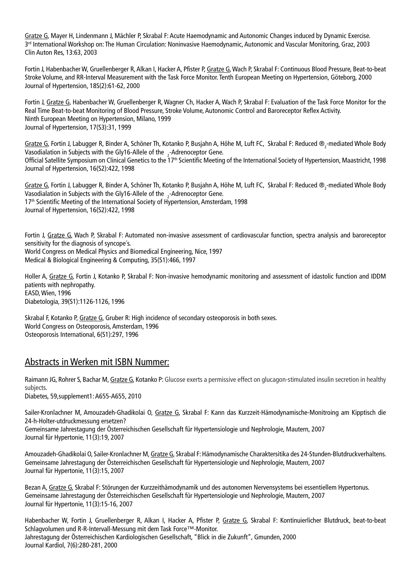Gratze G, Mayer H, Lindenmann J, Mächler P, Skrabal F: Acute Haemodynamic and Autonomic Changes induced by Dynamic Exercise. 3rd International Workshop on: The Human Circulation: Noninvasive Haemodynamic, Autonomic and Vascular Monitoring, Graz, 2003 Clin Auton Res, 13:63, 2003

Fortin J, Habenbacher W, Gruellenberger R, Alkan I, Hacker A, Pfister P, Gratze G, Wach P, Skrabal F: Continuous Blood Pressure, Beat-to-beat Stroke Volume, and RR-Interval Measurement with the Task Force Monitor. Tenth European Meeting on Hypertension, Göteborg, 2000 Journal of Hypertension, 18S(2):61-62, 2000

Fortin J, Gratze G, Habenbacher W, Gruellenberger R, Wagner Ch, Hacker A, Wach P, Skrabal F: Evaluation of the Task Force Monitor for the Real Time Beat-to-beat Monitoring of Blood Pressure, Stroke Volume, Autonomic Control and Baroreceptor Reflex Activity. Ninth European Meeting on Hypertension, Milano, 1999 Journal of Hypertension, 17(S3):31, 1999

Gratze G, Fortin J, Labugger R, Binder A, Schöner Th, Kotanko P, Busjahn A, Höhe M, Luft FC, Skrabal F: Reduced ®<sub>2</sub>-mediated Whole Body Vasodialation in Subjects with the Gly16-Allele of the  $\frac{1}{2}$ -Adrenoceptor Gene. Official Satellite Symposium on Clinical Genetics to the 17<sup>th</sup> Scientific Meeting of the International Society of Hypertension, Maastricht, 1998 Journal of Hypertension, 16(S2):422, 1998

Gratze G, Fortin J, Labugger R, Binder A, Schöner Th, Kotanko P, Busjahn A, Höhe M, Luft FC, Skrabal F: Reduced ®<sub>2</sub>-mediated Whole Body Vasodialation in Subjects with the Gly16-Allele of the  $\frac{1}{2}$ -Adrenoceptor Gene. 17<sup>th</sup> Scientific Meeting of the International Society of Hypertension, Amsterdam, 1998 Journal of Hypertension, 16(S2):422, 1998

Fortin J, Gratze G, Wach P, Skrabal F: Automated non-invasive assessment of cardiovascular function, spectra analysis and baroreceptor sensitivity for the diagnosis of syncope´s. World Congress on Medical Physics and Biomedical Engineering, Nice, 1997 Medical & Biological Engineering & Computing, 35(S1):466, 1997

Holler A, Gratze G, Fortin J, Kotanko P, Skrabal F: Non-invasive hemodynamic monitoring and assessment of idastolic function and IDDM patients with nephropathy. EASD, Wien, 1996 Diabetologia, 39(S1):1126-1126, 1996

Skrabal F, Kotanko P, Gratze G, Gruber R: High incidence of secondary osteoporosis in both sexes. World Congress on Osteoporosis, Amsterdam, 1996 Osteoporosis International, 6(S1):297, 1996

### Abstracts in Werken mit ISBN Nummer:

Raimann JG, Rohrer S, Bachar M, Gratze G, Kotanko P: Glucose exerts a permissive effect on glucagon-stimulated insulin secretion in healthy subjects. Diabetes, 59,supplement1: A655-A655, 2010

Sailer-Kronlachner M, Amouzadeh-Ghadikolai O, Gratze G, Skrabal F: Kann das Kurzzeit-Hämodynamische-Monitroing am Kipptisch die 24-h-Holter-utdruckmessung ersetzen? Gemeinsame Jahrestagung der Österreichischen Gesellschaft für Hypertensiologie und Nephrologie, Mautern, 2007 Journal für Hypertonie, 11(3):19, 2007

Amouzadeh-Ghadikolai O, Sailer-Kronlachner M, Gratze G, Skrabal F: Hämodynamische Charaktersitika des 24-Stunden-Blutdruckverhaltens. Gemeinsame Jahrestagung der Österreichischen Gesellschaft für Hypertensiologie und Nephrologie, Mautern, 2007 Journal für Hypertonie, 11(3):15, 2007

Bezan A, Gratze G, Skrabal F: Störungen der Kurzzeithämodynamik und des autonomen Nervensystems bei essentiellem Hypertonus. Gemeinsame Jahrestagung der Österreichischen Gesellschaft für Hypertensiologie und Nephrologie, Mautern, 2007 Journal für Hypertonie, 11(3):15-16, 2007

Habenbacher W, Fortin J, Gruellenberger R, Alkan I, Hacker A, Pfister P, Gratze G, Skrabal F: Kontinuierlicher Blutdruck, beat-to-beat Schlagvolumen und R-R-Intervall-Messung mit dem Task Force™-Monitor. Jahrestagung der Österreichischen Kardiologischen Gesellschaft, "Blick in die Zukunft", Gmunden, 2000 Journal Kardiol, 7(6):280-281, 2000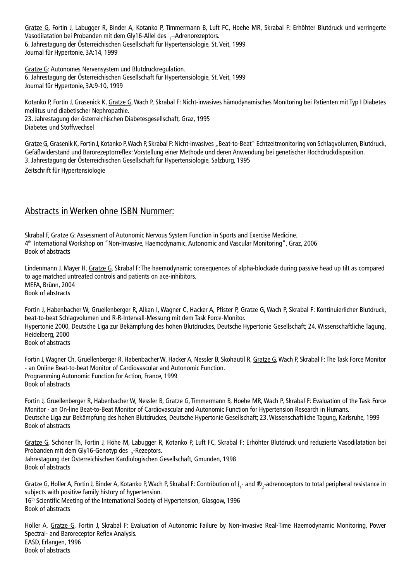Gratze G, Fortin J, Labugger R, Binder A, Kotanko P, Timmermann B, Luft FC, Hoehe MR, Skrabal F: Erhöhter Blutdruck und verringerte Vasodilatation bei Probanden mit dem Gly16-Allel des  $\frac{1}{2}$ -Adrenorezeptors. 6. Jahrestagung der Österreichischen Gesellschaft für Hypertensiologie, St. Veit, 1999 Journal für Hypertonie, 3A:14, 1999

Gratze G: Autonomes Nervensystem und Blutdruckregulation. 6. Jahrestagung der Österreichischen Gesellschaft für Hypertensiologie, St. Veit, 1999 Journal für Hypertonie, 3A:9-10, 1999

Kotanko P, Fortin J, Grasenick K, Gratze G, Wach P, Skrabal F: Nicht-invasives hämodynamisches Monitoring bei Patienten mit Typ I Diabetes mellitus und diabetischer Nephropathie. 23. Jahrestagung der österreichischen Diabetesgesellschaft, Graz, 1995 Diabetes und Stoffwechsel

Gratze G, Grasenik K, Fortin J, Kotanko P, Wach P, Skrabal F: Nicht-invasives "Beat-to-Beat" Echtzeitmonitoring von Schlagvolumen, Blutdruck, Gefäßwiderstand und Barorezeptorreflex: Vorstellung einer Methode und deren Anwendung bei genetischer Hochdruckdisposition. 3. Jahrestagung der Österreichischen Gesellschaft für Hypertensiologie, Salzburg, 1995 Zeitschrift für Hypertensiologie

#### Abstracts in Werken ohne ISBN Nummer:

Skrabal F, Gratze G: Assessment of Autonomic Nervous System Function in Sports and Exercise Medicine. 4th International Workshop on "Non-Invasive, Haemodynamic, Autonomic and Vascular Monitoring", Graz, 2006 Book of abstracts

Lindenmann J, Mayer H, Gratze G, Skrabal F: The haemodynamic consequences of alpha-blockade during passive head up tilt as compared to age matched untreated controls and patients on ace-inhibitors. MEFA, Brünn, 2004 Book of abstracts

Fortin J, Habenbacher W, Gruellenberger R, Alkan I, Wagner C, Hacker A, Pfister P, Gratze G, Wach P, Skrabal F: Kontinuierlicher Blutdruck, beat-to-beat Schlagvolumen und R-R-Intervall-Messung mit dem Task Force-Monitor. Hypertonie 2000, Deutsche Liga zur Bekämpfung des hohen Blutdruckes, Deutsche Hypertonie Gesellschaft; 24. Wissenschaftliche Tagung, Heidelberg, 2000 Book of abstracts

Fortin J, Wagner Ch, Gruellenberger R, Habenbacher W, Hacker A, Nessler B, Skohautil R, Gratze G, Wach P, Skrabal F: The Task Force Monitor - an Online Beat-to-beat Monitor of Cardiovascular and Autonomic Function. Programming Autonomic Function for Action, France, 1999 Book of abstracts

Fortin J, Gruellenberger R, Habenbacher W, Nessler B, Gratze G, Timmermann B, Hoehe MR, Wach P, Skrabal F: Evaluation of the Task Force Monitor - an On-line Beat-to-Beat Monitor of Cardiovascular and Autonomic Function for Hypertension Research in Humans. Deutsche Liga zur Bekämpfung des hohen Blutdruckes, Deutsche Hypertonie Gesellschaft; 23. Wissenschaftliche Tagung, Karlsruhe, 1999 Book of abstracts

Gratze G, Schöner Th, Fortin J, Höhe M, Labugger R, Kotanko P, Luft FC, Skrabal F: Erhöhter Blutdruck und reduzierte Vasodilatation bei Probanden mit dem Gly16-Genotyp des  $2$ -Rezeptors. Jahrestagung der Österreichischen Kardiologischen Gesellschaft, Gmunden, 1998 Book of abstracts

Gratze G, Holler A, Fortin J, Binder A, Kotanko P, Wach P, Skrabal F: Contribution of  $\{,$ -and  $\otimes$ <sub>2</sub>-adrenoceptors to total peripheral resistance in subjects with positive family history of hypertension. 16<sup>th</sup> Scientific Meeting of the International Society of Hypertension, Glasgow, 1996 Book of abstracts

Holler A, Gratze G, Fortin J, Skrabal F: Evaluation of Autonomic Failure by Non-Invasive Real-Time Haemodynamic Monitoring, Power Spectral- and Baroreceptor Reflex Analysis. EASD, Erlangen, 1996 Book of abstracts